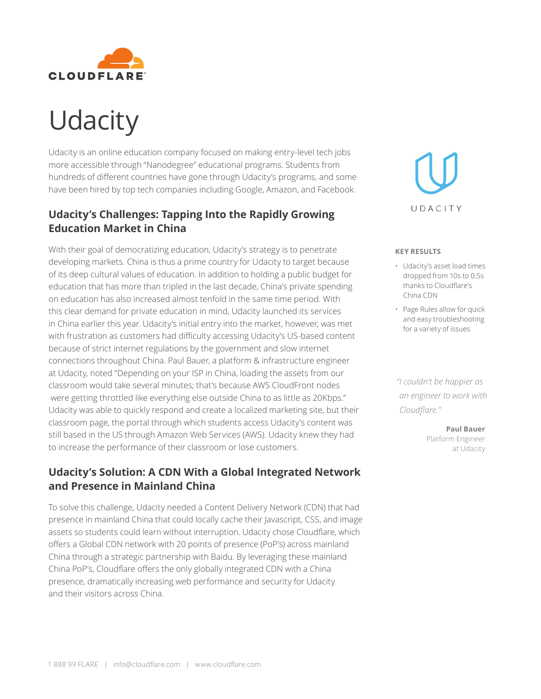

## **Udacity**

Udacity is an online education company focused on making entry-level tech jobs more accessible through "Nanodegree" educational programs. Students from hundreds of different countries have gone through Udacity's programs, and some have been hired by top tech companies including Google, Amazon, and Facebook.

## **Udacity's Challenges: Tapping Into the Rapidly Growing Education Market in China**

With their goal of democratizing education, Udacity's strategy is to penetrate developing markets. China is thus a prime country for Udacity to target because of its deep cultural values of education. In addition to holding a public budget for education that has more than tripled in the last decade, China's private spending on education has also increased almost tenfold in the same time period. With this clear demand for private education in mind, Udacity launched its services in China earlier this year. Udacity's initial entry into the market, however, was met with frustration as customers had difficulty accessing Udacity's US-based content because of strict internet regulations by the government and slow internet connections throughout China. Paul Bauer, a platform & infrastructure engineer at Udacity, noted "Depending on your ISP in China, loading the assets from our classroom would take several minutes; that's because AWS CloudFront nodes were getting throttled like everything else outside China to as little as 20Kbps." Udacity was able to quickly respond and create a localized marketing site, but their classroom page, the portal through which students access Udacity's content was still based in the US through Amazon Web Services (AWS). Udacity knew they had to increase the performance of their classroom or lose customers.

## **Udacity's Solution: A CDN With a Global Integrated Network and Presence in Mainland China**

To solve this challenge, Udacity needed a Content Delivery Network (CDN) that had presence in mainland China that could locally cache their Javascript, CSS, and image assets so students could learn without interruption. Udacity chose Cloudflare, which offers a Global CDN network with 20 points of presence (PoP's) across mainland China through a strategic partnership with Baidu. By leveraging these mainland China PoP's, Cloudflare offers the only globally integrated CDN with a China presence, dramatically increasing web performance and security for Udacity and their visitors across China.



## **KEY RESULTS**

- Udacity's asset load times dropped from 10s to 0.5s thanks to Cloudflare's China CDN
- Page Rules allow for quick and easy troubleshooting for a variety of issues

 *"I couldn't be happier as an engineer to work with Cloudflare."*

> **Paul Bauer** Platform Engineer at Udacity